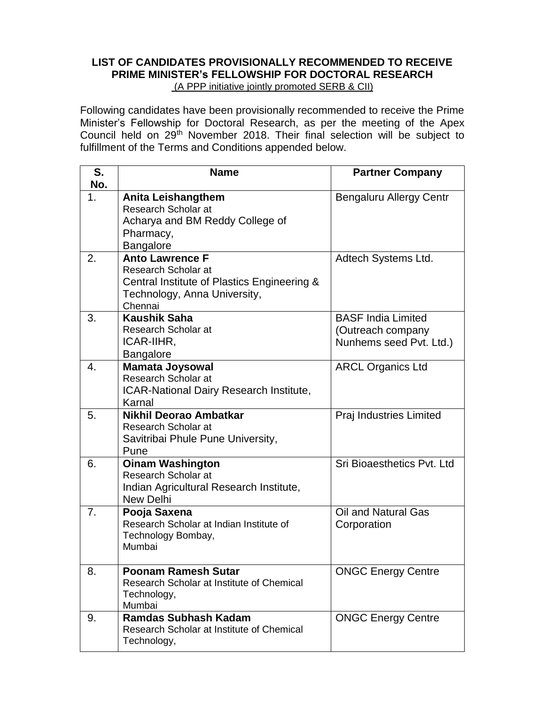## **LIST OF CANDIDATES PROVISIONALLY RECOMMENDED TO RECEIVE PRIME MINISTER's FELLOWSHIP FOR DOCTORAL RESEARCH**  (A PPP initiative jointly promoted SERB & CII)

Following candidates have been provisionally recommended to receive the Prime Minister's Fellowship for Doctoral Research, as per the meeting of the Apex Council held on 29th November 2018. Their final selection will be subject to fulfillment of the Terms and Conditions appended below.

| S.<br>No. | <b>Name</b>                                                                                                                             | <b>Partner Company</b>                                                    |
|-----------|-----------------------------------------------------------------------------------------------------------------------------------------|---------------------------------------------------------------------------|
| 1.        | <b>Anita Leishangthem</b><br>Research Scholar at<br>Acharya and BM Reddy College of<br>Pharmacy,<br><b>Bangalore</b>                    | Bengaluru Allergy Centr                                                   |
| 2.        | <b>Anto Lawrence F</b><br>Research Scholar at<br>Central Institute of Plastics Engineering &<br>Technology, Anna University,<br>Chennai | Adtech Systems Ltd.                                                       |
| 3.        | <b>Kaushik Saha</b><br>Research Scholar at<br>ICAR-IIHR,<br><b>Bangalore</b>                                                            | <b>BASF India Limited</b><br>(Outreach company<br>Nunhems seed Pvt. Ltd.) |
| 4.        | <b>Mamata Joysowal</b><br>Research Scholar at<br>ICAR-National Dairy Research Institute,<br>Karnal                                      | <b>ARCL Organics Ltd</b>                                                  |
| 5.        | Nikhil Deorao Ambatkar<br>Research Scholar at<br>Savitribai Phule Pune University,<br>Pune                                              | Praj Industries Limited                                                   |
| 6.        | <b>Oinam Washington</b><br>Research Scholar at<br>Indian Agricultural Research Institute,<br><b>New Delhi</b>                           | Sri Bioaesthetics Pvt. Ltd                                                |
| 7.        | Pooja Saxena<br>Research Scholar at Indian Institute of<br>Technology Bombay,<br>Mumbai                                                 | Oil and Natural Gas<br>Corporation                                        |
| 8.        | <b>Poonam Ramesh Sutar</b><br>Research Scholar at Institute of Chemical<br>Technology,<br>Mumbai                                        | <b>ONGC Energy Centre</b>                                                 |
| 9.        | <b>Ramdas Subhash Kadam</b><br>Research Scholar at Institute of Chemical<br>Technology,                                                 | <b>ONGC Energy Centre</b>                                                 |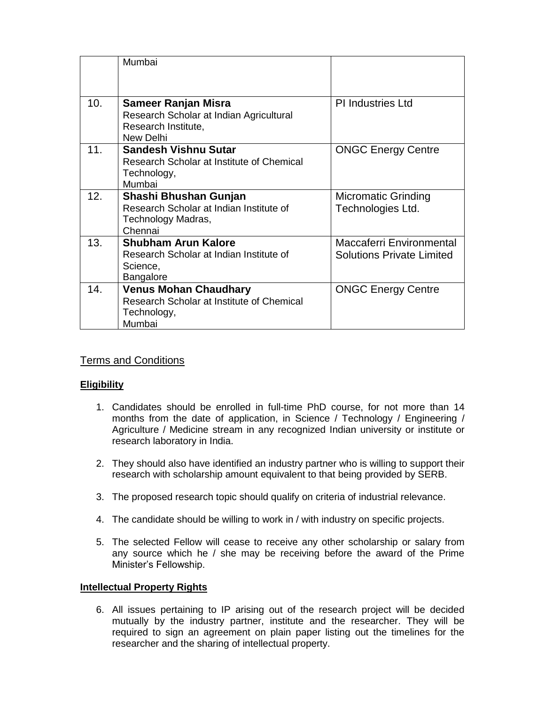|     | Mumbai                                                                                                |                                                                     |
|-----|-------------------------------------------------------------------------------------------------------|---------------------------------------------------------------------|
| 10. | Sameer Ranjan Misra<br>Research Scholar at Indian Agricultural<br>Research Institute,<br>New Delhi    | <b>PI Industries Ltd</b>                                            |
| 11. | <b>Sandesh Vishnu Sutar</b><br>Research Scholar at Institute of Chemical<br>Technology,<br>Mumbai     | <b>ONGC Energy Centre</b>                                           |
| 12. | Shashi Bhushan Gunjan<br>Research Scholar at Indian Institute of<br>Technology Madras,<br>Chennai     | <b>Micromatic Grinding</b><br>Technologies Ltd.                     |
| 13. | <b>Shubham Arun Kalore</b><br>Research Scholar at Indian Institute of<br>Science,<br><b>Bangalore</b> | <b>Maccaferri Environmental</b><br><b>Solutions Private Limited</b> |
| 14. | <b>Venus Mohan Chaudhary</b><br>Research Scholar at Institute of Chemical<br>Technology,<br>Mumbai    | <b>ONGC Energy Centre</b>                                           |

# Terms and Conditions

## **Eligibility**

- 1. Candidates should be enrolled in full-time PhD course, for not more than 14 months from the date of application, in Science / Technology / Engineering / Agriculture / Medicine stream in any recognized Indian university or institute or research laboratory in India.
- 2. They should also have identified an industry partner who is willing to support their research with scholarship amount equivalent to that being provided by SERB.
- 3. The proposed research topic should qualify on criteria of industrial relevance.
- 4. The candidate should be willing to work in / with industry on specific projects.
- 5. The selected Fellow will cease to receive any other scholarship or salary from any source which he / she may be receiving before the award of the Prime Minister's Fellowship.

#### **Intellectual Property Rights**

6. All issues pertaining to IP arising out of the research project will be decided mutually by the industry partner, institute and the researcher. They will be required to sign an agreement on plain paper listing out the timelines for the researcher and the sharing of intellectual property.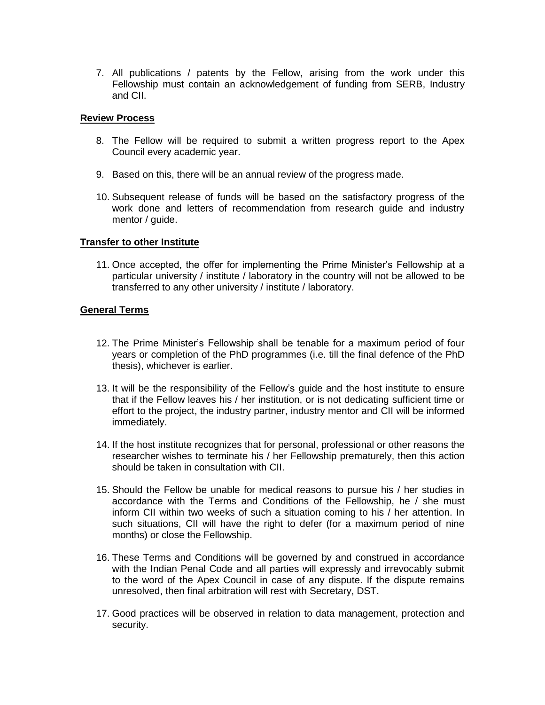7. All publications / patents by the Fellow, arising from the work under this Fellowship must contain an acknowledgement of funding from SERB, Industry and CII.

#### **Review Process**

- 8. The Fellow will be required to submit a written progress report to the Apex Council every academic year.
- 9. Based on this, there will be an annual review of the progress made.
- 10. Subsequent release of funds will be based on the satisfactory progress of the work done and letters of recommendation from research guide and industry mentor / guide.

### **Transfer to other Institute**

11. Once accepted, the offer for implementing the Prime Minister's Fellowship at a particular university / institute / laboratory in the country will not be allowed to be transferred to any other university / institute / laboratory.

## **General Terms**

- 12. The Prime Minister's Fellowship shall be tenable for a maximum period of four years or completion of the PhD programmes (i.e. till the final defence of the PhD thesis), whichever is earlier.
- 13. It will be the responsibility of the Fellow's guide and the host institute to ensure that if the Fellow leaves his / her institution, or is not dedicating sufficient time or effort to the project, the industry partner, industry mentor and CII will be informed immediately.
- 14. If the host institute recognizes that for personal, professional or other reasons the researcher wishes to terminate his / her Fellowship prematurely, then this action should be taken in consultation with CII.
- 15. Should the Fellow be unable for medical reasons to pursue his / her studies in accordance with the Terms and Conditions of the Fellowship, he / she must inform CII within two weeks of such a situation coming to his / her attention. In such situations, CII will have the right to defer (for a maximum period of nine months) or close the Fellowship.
- 16. These Terms and Conditions will be governed by and construed in accordance with the Indian Penal Code and all parties will expressly and irrevocably submit to the word of the Apex Council in case of any dispute. If the dispute remains unresolved, then final arbitration will rest with Secretary, DST.
- 17. Good practices will be observed in relation to data management, protection and security.